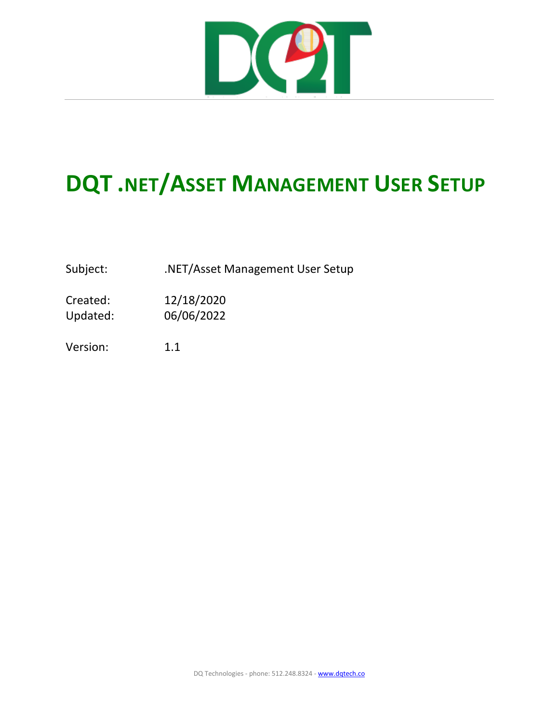

## **DQT .NET/ASSET MANAGEMENT USER SETUP**

Subject: . .NET/Asset Management User Setup

Created: 12/18/2020 Updated: 06/06/2022

Version: 1.1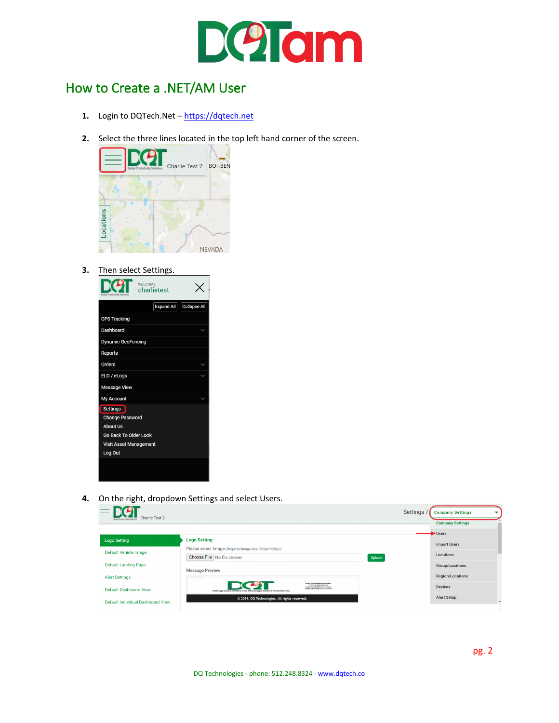

## How to Create a .NET/AM User

- **1.** Login to DQTech.Net – [https://dqtech.net](https://dqtech.net/)
- **2.** Select the three lines located in the top left hand corner of the screen.



**3.** Then select Settings.



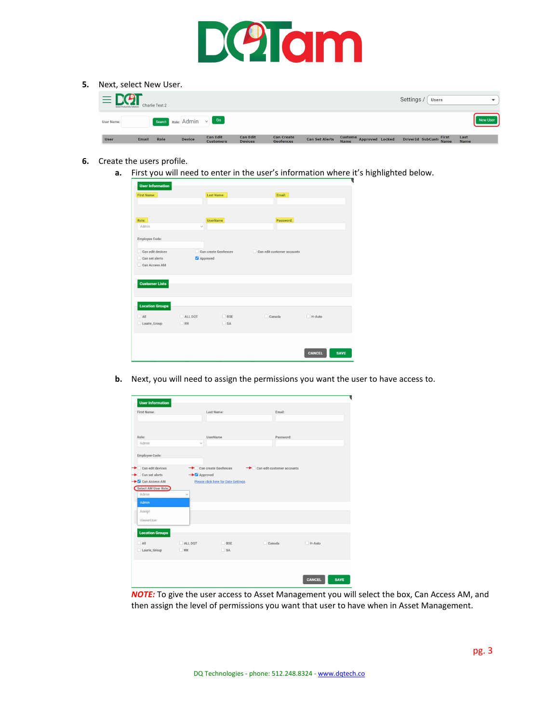

**5.** Next, select New User.

| $=$ $\sum$ $\bigcirc$ $\bigcirc$ $\bigcirc$ $\bigcirc$ $\bigcirc$ $\bigcirc$ $\bigcirc$ $\bigcirc$ $\bigcirc$ $\bigcirc$ $\bigcirc$ $\bigcirc$ $\bigcirc$ $\bigcirc$ $\bigcirc$ $\bigcirc$ $\bigcirc$ $\bigcirc$ $\bigcirc$ $\bigcirc$ $\bigcirc$ $\bigcirc$ $\bigcirc$ $\bigcirc$ $\bigcirc$ $\bigcirc$ $\bigcirc$ $\bigcirc$ $\bigcirc$ $\bigcirc$ $\bigcirc$ $\bigcirc$ $\bigcirc$ $\bigcirc$ $\bigcirc$ $\$ |              |             |                         |                                     |                                   |                                |                       |                                                | Settings /   Users | $\checkmark$ |
|-----------------------------------------------------------------------------------------------------------------------------------------------------------------------------------------------------------------------------------------------------------------------------------------------------------------------------------------------------------------------------------------------------------------|--------------|-------------|-------------------------|-------------------------------------|-----------------------------------|--------------------------------|-----------------------|------------------------------------------------|--------------------|--------------|
| <b>User Name:</b>                                                                                                                                                                                                                                                                                                                                                                                               |              |             | Search Role: Admin v Go |                                     |                                   |                                |                       |                                                |                    | New User     |
| <b>User</b>                                                                                                                                                                                                                                                                                                                                                                                                     | <b>Email</b> | <b>Role</b> | <b>Device</b>           | <b>Can Edit</b><br><b>Customers</b> | <b>Can Edit</b><br><b>Devices</b> | <b>Can Create</b><br>Geofences | <b>Can Set Alerts</b> | Custome Approved Locked DriverId SubCust First |                    | Last<br>Name |

- **6.** Create the users profile.
	- **a.** First you will need to enter in the user's information where it's highlighted below.

| <b>User Information</b> |              |                      |                                 |               |             |
|-------------------------|--------------|----------------------|---------------------------------|---------------|-------------|
| <b>First Name:</b>      |              | Last Name:           | Email:                          |               |             |
|                         |              |                      |                                 |               |             |
|                         |              |                      |                                 |               |             |
| Role:                   |              | <b>UserName</b>      | Password:                       |               |             |
| Admin                   | $\checkmark$ |                      |                                 |               |             |
| Employee Code:          |              |                      |                                 |               |             |
| Can edit devices        |              | Can create Geofences | Can edit customer accounts<br>n |               |             |
|                         |              |                      |                                 |               |             |
| Can set alerts          | Approved     |                      |                                 |               |             |
| Can Access AM           |              |                      |                                 |               |             |
|                         |              |                      |                                 |               |             |
| <b>Customer Lists</b>   |              |                      |                                 |               |             |
|                         |              |                      |                                 |               |             |
|                         |              |                      |                                 |               |             |
|                         |              |                      |                                 |               |             |
| <b>Location Groups</b>  |              |                      |                                 |               |             |
| $\Box$ All              | ALL DOT      | BSE                  | Canada                          | H-Auto        |             |
| Laurie_Group            | $\Box$ RR    | $S_A$                |                                 |               |             |
|                         |              |                      |                                 |               |             |
|                         |              |                      |                                 |               |             |
|                         |              |                      |                                 |               |             |
|                         |              |                      |                                 |               |             |
|                         |              |                      |                                 | <b>CANCEL</b> | <b>SAVE</b> |

**b.** Next, you will need to assign the permissions you want the user to have access to.

| First Name:              |              | Last Name:                                 | Email:                                   |        |  |
|--------------------------|--------------|--------------------------------------------|------------------------------------------|--------|--|
| Role:<br>Admin           |              | UserName                                   | Password:                                |        |  |
| Employee Code:           | $\checkmark$ |                                            |                                          |        |  |
| Can edit devices         |              | Can create Geofences                       | $\rightarrow$ Can edit customer accounts |        |  |
| $\bullet$ Can set alerts | Approved     |                                            |                                          |        |  |
| Can Access AM            |              | <b>Please click here for Date Settings</b> |                                          |        |  |
| Select AM User Role:     |              |                                            |                                          |        |  |
| Admin                    | $\checkmark$ |                                            |                                          |        |  |
| Admin                    |              |                                            |                                          |        |  |
| Assign                   |              |                                            |                                          |        |  |
| ViewerUser               |              |                                            |                                          |        |  |
|                          |              |                                            |                                          |        |  |
| <b>Location Groups</b>   |              |                                            |                                          |        |  |
| $\Box$ All               | ALL DQT      | $\Box$ BSE                                 | $\Box$ Canada                            | H-Auto |  |
| Laurie_Group             | $\Box$ RR    | $\square$ SA                               |                                          |        |  |
|                          |              |                                            |                                          |        |  |
|                          |              |                                            |                                          |        |  |
|                          |              |                                            |                                          |        |  |

*NOTE:* To give the user access to Asset Management you will select the box, Can Access AM, and then assign the level of permissions you want that user to have when in Asset Management.